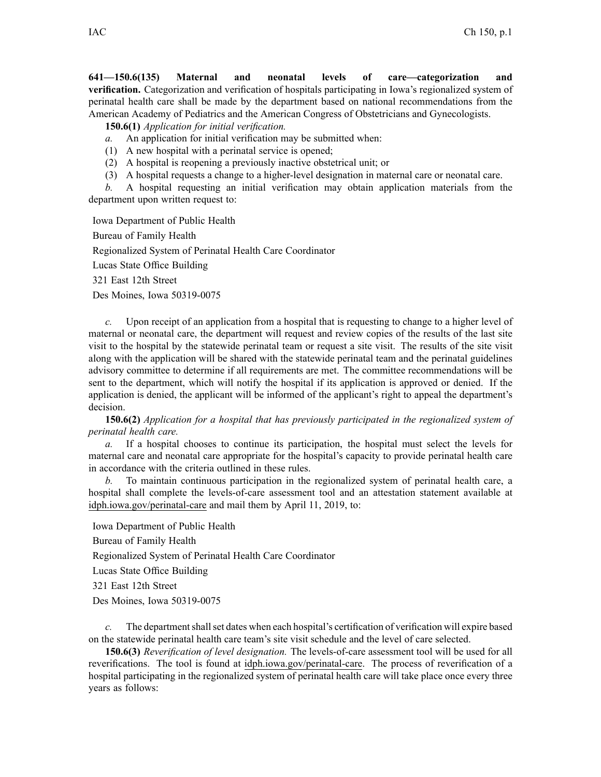**641—150.6(135) Maternal and neonatal levels of care—categorization and verification.** Categorization and verification of hospitals participating in Iowa's regionalized system of perinatal health care shall be made by the department based on national recommendations from the American Academy of Pediatrics and the American Congress of Obstetricians and Gynecologists.

**150.6(1)** *Application for initial verification.*

*a.* An application for initial verification may be submitted when:

(1) A new hospital with <sup>a</sup> perinatal service is opened;

(2) A hospital is reopening <sup>a</sup> previously inactive obstetrical unit; or

(3) A hospital requests a change to a higher-level designation in maternal care or neonatal care.

*b.* A hospital requesting an initial verification may obtain application materials from the department upon written reques<sup>t</sup> to:

Iowa Department of Public Health Bureau of Family Health Regionalized System of Perinatal Health Care Coordinator Lucas State Office Building

321 East 12th Street

Des Moines, Iowa 50319-0075

*c.* Upon receipt of an application from <sup>a</sup> hospital that is requesting to change to <sup>a</sup> higher level of maternal or neonatal care, the department will reques<sup>t</sup> and review copies of the results of the last site visit to the hospital by the statewide perinatal team or reques<sup>t</sup> <sup>a</sup> site visit. The results of the site visit along with the application will be shared with the statewide perinatal team and the perinatal guidelines advisory committee to determine if all requirements are met. The committee recommendations will be sent to the department, which will notify the hospital if its application is approved or denied. If the application is denied, the applicant will be informed of the applicant's right to appeal the department's decision.

**150.6(2)** *Application for <sup>a</sup> hospital that has previously participated in the regionalized system of perinatal health care.*

*a.* If <sup>a</sup> hospital chooses to continue its participation, the hospital must select the levels for maternal care and neonatal care appropriate for the hospital's capacity to provide perinatal health care in accordance with the criteria outlined in these rules.

*b.* To maintain continuous participation in the regionalized system of perinatal health care, <sup>a</sup> hospital shall complete the levels-of-care assessment tool and an attestation statement available at [idph.iowa.gov/perinatal-care](http://idph.iowa.gov/perinatal-care) and mail them by April 11, 2019, to:

Iowa Department of Public Health

Bureau of Family Health

Regionalized System of Perinatal Health Care Coordinator

Lucas State Office Building

321 East 12th Street

Des Moines, Iowa 50319-0075

*c.* The department shall set dates when each hospital's certification of verification will expire based on the statewide perinatal health care team's site visit schedule and the level of care selected.

**150.6(3)** *Reverification of level designation.* The levels-of-care assessment tool will be used for all reverifications. The tool is found at [idph.iowa.gov/perinatal-care](https://idph.iowa.gov/perinatal-care). The process of reverification of <sup>a</sup> hospital participating in the regionalized system of perinatal health care will take place once every three years as follows: